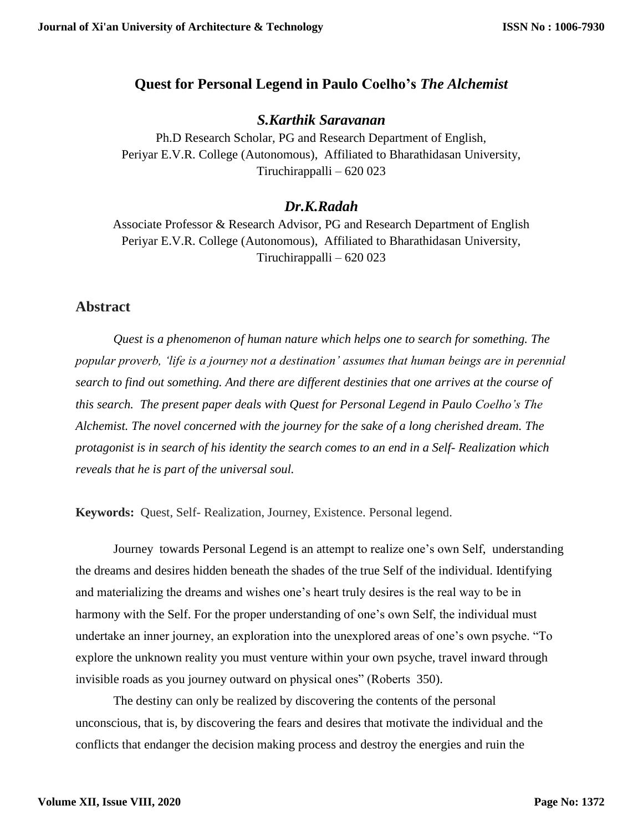## **Quest for Personal Legend in Paulo Coelho's** *The Alchemist*

## *S.Karthik Saravanan*

Ph.D Research Scholar, PG and Research Department of English, Periyar E.V.R. College (Autonomous), Affiliated to Bharathidasan University, Tiruchirappalli – 620 023

# *Dr.K.Radah*

Associate Professor & Research Advisor, PG and Research Department of English Periyar E.V.R. College (Autonomous), Affiliated to Bharathidasan University, Tiruchirappalli – 620 023

## **Abstract**

*Quest is a phenomenon of human nature which helps one to search for something. The popular proverb, 'life is a journey not a destination' assumes that human beings are in perennial search to find out something. And there are different destinies that one arrives at the course of this search. The present paper deals with Quest for Personal Legend in Paulo Coelho's The Alchemist. The novel concerned with the journey for the sake of a long cherished dream. The protagonist is in search of his identity the search comes to an end in a Self- Realization which reveals that he is part of the universal soul.*

**Keywords:** Quest, Self- Realization, Journey, Existence. Personal legend.

Journey towards Personal Legend is an attempt to realize one's own Self, understanding the dreams and desires hidden beneath the shades of the true Self of the individual. Identifying and materializing the dreams and wishes one's heart truly desires is the real way to be in harmony with the Self. For the proper understanding of one's own Self, the individual must undertake an inner journey, an exploration into the unexplored areas of one's own psyche. "To explore the unknown reality you must venture within your own psyche, travel inward through invisible roads as you journey outward on physical ones" (Roberts 350).

The destiny can only be realized by discovering the contents of the personal unconscious, that is, by discovering the fears and desires that motivate the individual and the conflicts that endanger the decision making process and destroy the energies and ruin the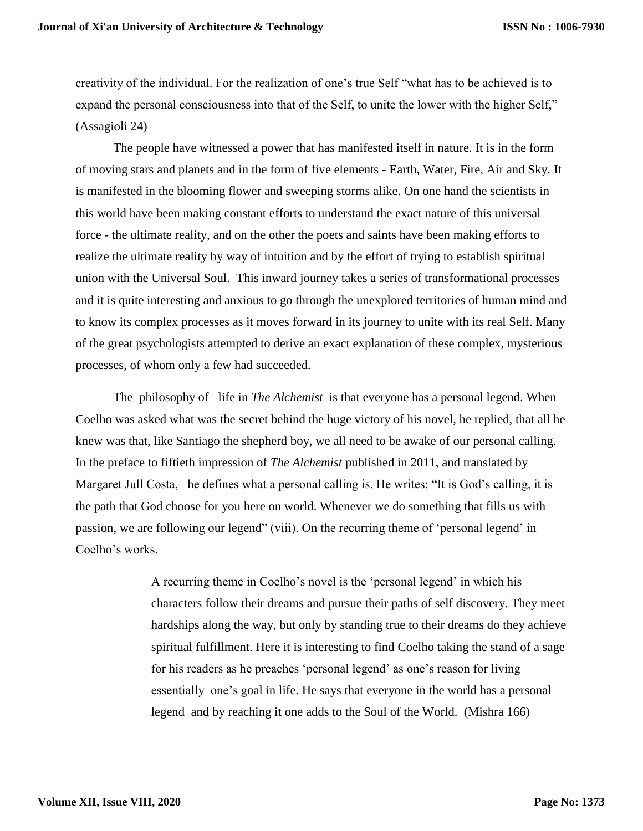creativity of the individual. For the realization of one's true Self "what has to be achieved is to expand the personal consciousness into that of the Self, to unite the lower with the higher Self," (Assagioli 24)

The people have witnessed a power that has manifested itself in nature. It is in the form of moving stars and planets and in the form of five elements - Earth, Water, Fire, Air and Sky. It is manifested in the blooming flower and sweeping storms alike. On one hand the scientists in this world have been making constant efforts to understand the exact nature of this universal force - the ultimate reality, and on the other the poets and saints have been making efforts to realize the ultimate reality by way of intuition and by the effort of trying to establish spiritual union with the Universal Soul. This inward journey takes a series of transformational processes and it is quite interesting and anxious to go through the unexplored territories of human mind and to know its complex processes as it moves forward in its journey to unite with its real Self. Many of the great psychologists attempted to derive an exact explanation of these complex, mysterious processes, of whom only a few had succeeded.

The philosophy of life in *The Alchemist* is that everyone has a personal legend. When Coelho was asked what was the secret behind the huge victory of his novel, he replied, that all he knew was that, like Santiago the shepherd boy, we all need to be awake of our personal calling. In the preface to fiftieth impression of *The Alchemist* published in 2011, and translated by Margaret Jull Costa, he defines what a personal calling is. He writes: "It is God's calling, it is the path that God choose for you here on world. Whenever we do something that fills us with passion, we are following our legend" (viii). On the recurring theme of 'personal legend' in Coelho's works,

> A recurring theme in Coelho's novel is the 'personal legend' in which his characters follow their dreams and pursue their paths of self discovery. They meet hardships along the way, but only by standing true to their dreams do they achieve spiritual fulfillment. Here it is interesting to find Coelho taking the stand of a sage for his readers as he preaches 'personal legend' as one's reason for living essentially one's goal in life. He says that everyone in the world has a personal legend and by reaching it one adds to the Soul of the World. (Mishra 166)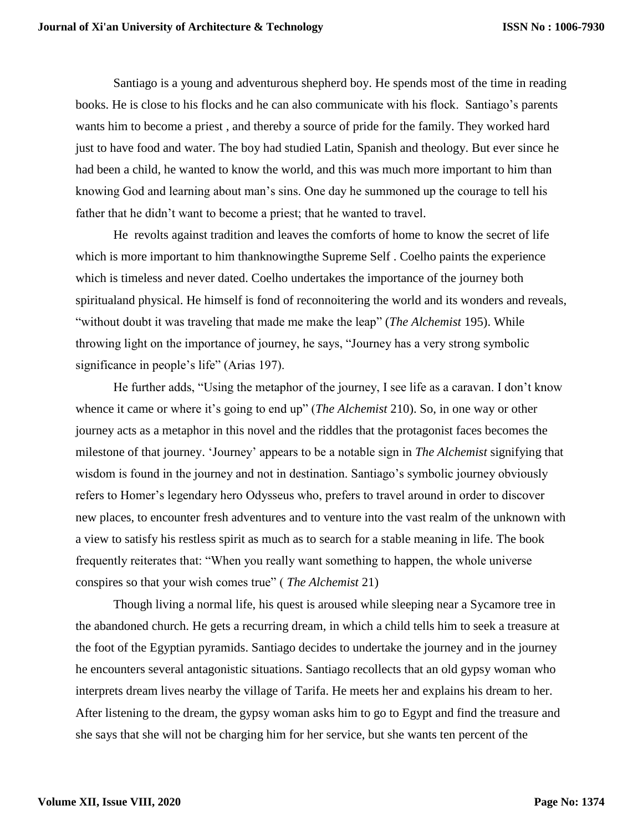Santiago is a young and adventurous shepherd boy. He spends most of the time in reading books. He is close to his flocks and he can also communicate with his flock. Santiago's parents wants him to become a priest , and thereby a source of pride for the family. They worked hard just to have food and water. The boy had studied Latin, Spanish and theology. But ever since he had been a child, he wanted to know the world, and this was much more important to him than knowing God and learning about man's sins. One day he summoned up the courage to tell his father that he didn't want to become a priest; that he wanted to travel.

He revolts against tradition and leaves the comforts of home to know the secret of life which is more important to him thanknowing the Supreme Self. Coelho paints the experience which is timeless and never dated. Coelho undertakes the importance of the journey both spiritualand physical. He himself is fond of reconnoitering the world and its wonders and reveals, "without doubt it was traveling that made me make the leap" (*The Alchemist* 195). While throwing light on the importance of journey, he says, "Journey has a very strong symbolic significance in people's life" (Arias 197).

He further adds, "Using the metaphor of the journey, I see life as a caravan. I don't know whence it came or where it's going to end up" (*The Alchemist* 210). So, in one way or other journey acts as a metaphor in this novel and the riddles that the protagonist faces becomes the milestone of that journey. 'Journey' appears to be a notable sign in *The Alchemist* signifying that wisdom is found in the journey and not in destination. Santiago's symbolic journey obviously refers to Homer's legendary hero Odysseus who, prefers to travel around in order to discover new places, to encounter fresh adventures and to venture into the vast realm of the unknown with a view to satisfy his restless spirit as much as to search for a stable meaning in life. The book frequently reiterates that: "When you really want something to happen, the whole universe conspires so that your wish comes true" ( *The Alchemist* 21)

Though living a normal life, his quest is aroused while sleeping near a Sycamore tree in the abandoned church. He gets a recurring dream, in which a child tells him to seek a treasure at the foot of the Egyptian pyramids. Santiago decides to undertake the journey and in the journey he encounters several antagonistic situations. Santiago recollects that an old gypsy woman who interprets dream lives nearby the village of Tarifa. He meets her and explains his dream to her. After listening to the dream, the gypsy woman asks him to go to Egypt and find the treasure and she says that she will not be charging him for her service, but she wants ten percent of the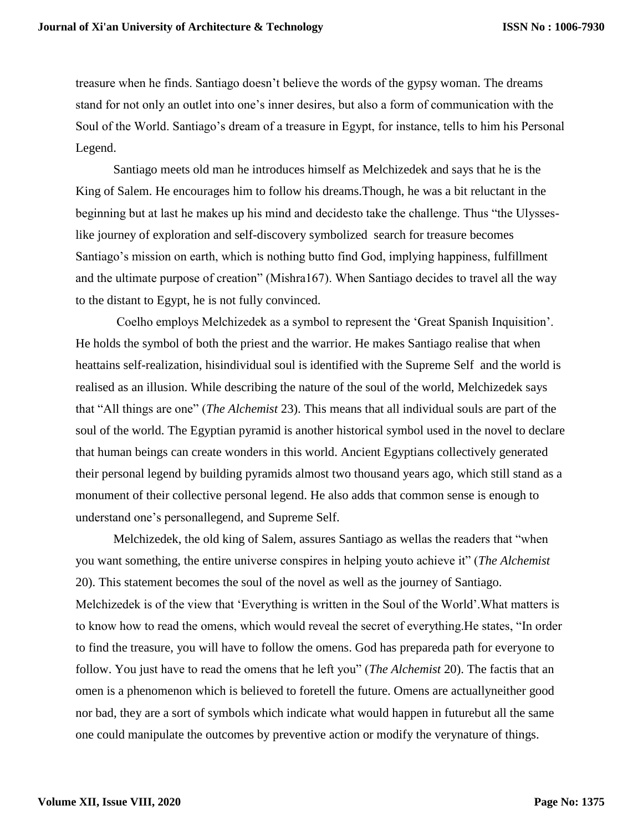treasure when he finds. Santiago doesn't believe the words of the gypsy woman. The dreams stand for not only an outlet into one's inner desires, but also a form of communication with the Soul of the World. Santiago's dream of a treasure in Egypt, for instance, tells to him his Personal Legend.

Santiago meets old man he introduces himself as Melchizedek and says that he is the King of Salem. He encourages him to follow his dreams.Though, he was a bit reluctant in the beginning but at last he makes up his mind and decidesto take the challenge. Thus "the Ulysseslike journey of exploration and self-discovery symbolized search for treasure becomes Santiago's mission on earth, which is nothing butto find God, implying happiness, fulfillment and the ultimate purpose of creation" (Mishra167). When Santiago decides to travel all the way to the distant to Egypt, he is not fully convinced.

Coelho employs Melchizedek as a symbol to represent the 'Great Spanish Inquisition'. He holds the symbol of both the priest and the warrior. He makes Santiago realise that when heattains self-realization, hisindividual soul is identified with the Supreme Self and the world is realised as an illusion. While describing the nature of the soul of the world, Melchizedek says that "All things are one" (*The Alchemist* 23). This means that all individual souls are part of the soul of the world. The Egyptian pyramid is another historical symbol used in the novel to declare that human beings can create wonders in this world. Ancient Egyptians collectively generated their personal legend by building pyramids almost two thousand years ago, which still stand as a monument of their collective personal legend. He also adds that common sense is enough to understand one's personallegend, and Supreme Self.

Melchizedek, the old king of Salem, assures Santiago as wellas the readers that "when you want something, the entire universe conspires in helping youto achieve it" (*The Alchemist* 20). This statement becomes the soul of the novel as well as the journey of Santiago. Melchizedek is of the view that 'Everything is written in the Soul of the World'.What matters is to know how to read the omens, which would reveal the secret of everything.He states, "In order to find the treasure, you will have to follow the omens. God has prepareda path for everyone to follow. You just have to read the omens that he left you" (*The Alchemist* 20). The factis that an omen is a phenomenon which is believed to foretell the future. Omens are actuallyneither good nor bad, they are a sort of symbols which indicate what would happen in futurebut all the same one could manipulate the outcomes by preventive action or modify the verynature of things.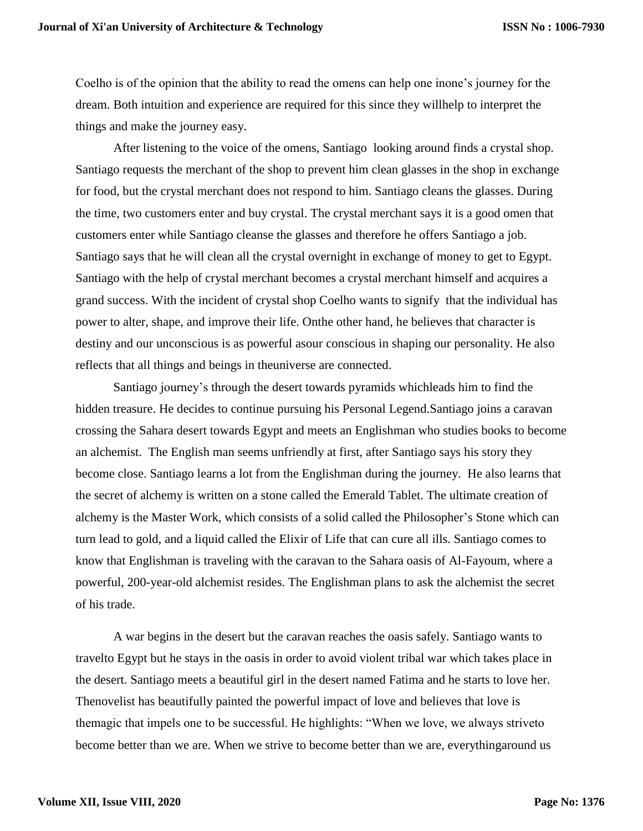Coelho is of the opinion that the ability to read the omens can help one inone's journey for the dream. Both intuition and experience are required for this since they willhelp to interpret the things and make the journey easy.

After listening to the voice of the omens, Santiago looking around finds a crystal shop. Santiago requests the merchant of the shop to prevent him clean glasses in the shop in exchange for food, but the crystal merchant does not respond to him. Santiago cleans the glasses. During the time, two customers enter and buy crystal. The crystal merchant says it is a good omen that customers enter while Santiago cleanse the glasses and therefore he offers Santiago a job. Santiago says that he will clean all the crystal overnight in exchange of money to get to Egypt. Santiago with the help of crystal merchant becomes a crystal merchant himself and acquires a grand success. With the incident of crystal shop Coelho wants to signify that the individual has power to alter, shape, and improve their life. Onthe other hand, he believes that character is destiny and our unconscious is as powerful asour conscious in shaping our personality. He also reflects that all things and beings in theuniverse are connected.

Santiago journey's through the desert towards pyramids whichleads him to find the hidden treasure. He decides to continue pursuing his Personal Legend.Santiago joins a caravan crossing the Sahara desert towards Egypt and meets an Englishman who studies books to become an alchemist. The English man seems unfriendly at first, after Santiago says his story they become close. Santiago learns a lot from the Englishman during the journey. He also learns that the secret of alchemy is written on a stone called the Emerald Tablet. The ultimate creation of alchemy is the Master Work, which consists of a solid called the Philosopher's Stone which can turn lead to gold, and a liquid called the Elixir of Life that can cure all ills. Santiago comes to know that Englishman is traveling with the caravan to the Sahara oasis of Al-Fayoum, where a powerful, 200-year-old alchemist resides. The Englishman plans to ask the alchemist the secret of his trade.

A war begins in the desert but the caravan reaches the oasis safely. Santiago wants to travelto Egypt but he stays in the oasis in order to avoid violent tribal war which takes place in the desert. Santiago meets a beautiful girl in the desert named Fatima and he starts to love her. Thenovelist has beautifully painted the powerful impact of love and believes that love is themagic that impels one to be successful. He highlights: "When we love, we always striveto become better than we are. When we strive to become better than we are, everythingaround us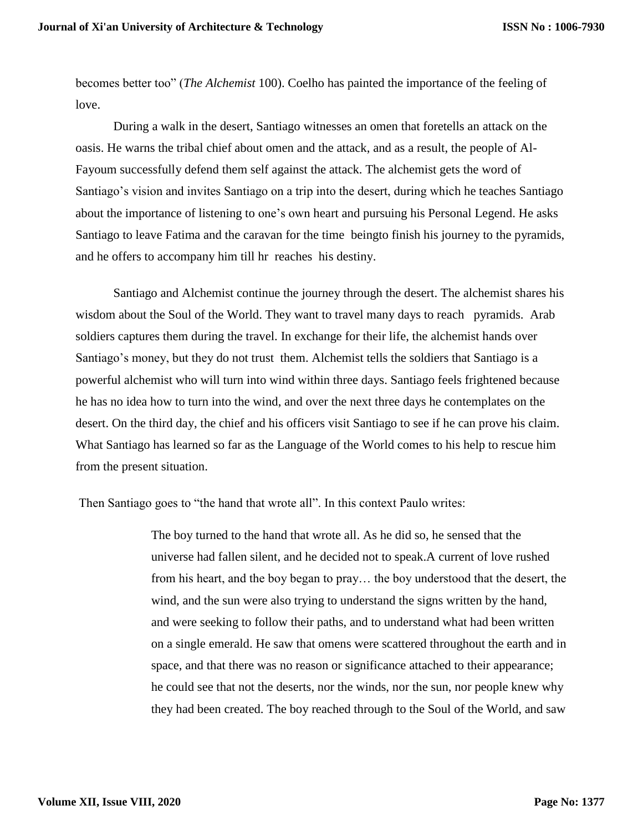becomes better too" (*The Alchemist* 100). Coelho has painted the importance of the feeling of love.

During a walk in the desert, Santiago witnesses an omen that foretells an attack on the oasis. He warns the tribal chief about omen and the attack, and as a result, the people of Al-Fayoum successfully defend them self against the attack. The alchemist gets the word of Santiago's vision and invites Santiago on a trip into the desert, during which he teaches Santiago about the importance of listening to one's own heart and pursuing his Personal Legend. He asks Santiago to leave Fatima and the caravan for the time beingto finish his journey to the pyramids, and he offers to accompany him till hr reaches his destiny.

Santiago and Alchemist continue the journey through the desert. The alchemist shares his wisdom about the Soul of the World. They want to travel many days to reach pyramids. Arab soldiers captures them during the travel. In exchange for their life, the alchemist hands over Santiago's money, but they do not trust them. Alchemist tells the soldiers that Santiago is a powerful alchemist who will turn into wind within three days. Santiago feels frightened because he has no idea how to turn into the wind, and over the next three days he contemplates on the desert. On the third day, the chief and his officers visit Santiago to see if he can prove his claim. What Santiago has learned so far as the Language of the World comes to his help to rescue him from the present situation.

Then Santiago goes to "the hand that wrote all". In this context Paulo writes:

The boy turned to the hand that wrote all. As he did so, he sensed that the universe had fallen silent, and he decided not to speak.A current of love rushed from his heart, and the boy began to pray… the boy understood that the desert, the wind, and the sun were also trying to understand the signs written by the hand, and were seeking to follow their paths, and to understand what had been written on a single emerald. He saw that omens were scattered throughout the earth and in space, and that there was no reason or significance attached to their appearance; he could see that not the deserts, nor the winds, nor the sun, nor people knew why they had been created. The boy reached through to the Soul of the World, and saw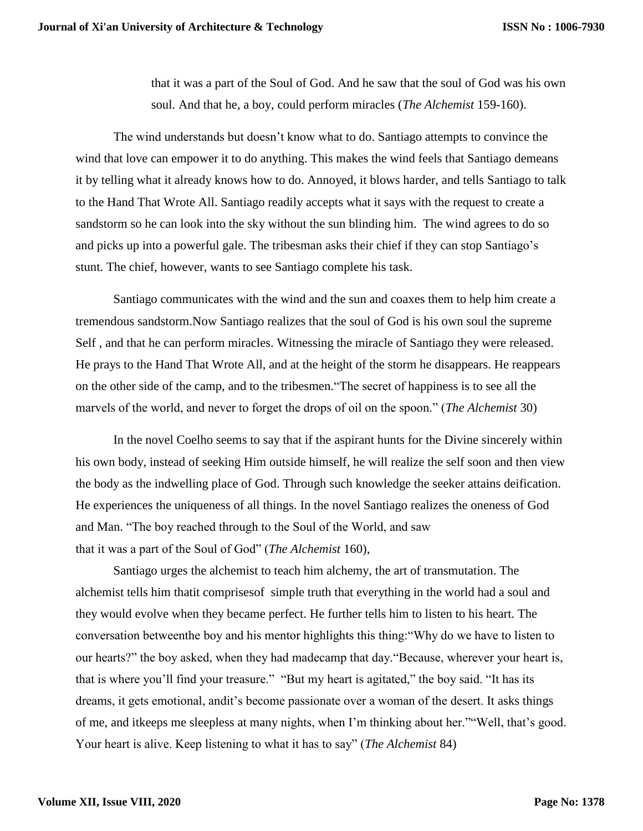that it was a part of the Soul of God. And he saw that the soul of God was his own soul. And that he, a boy, could perform miracles (*The Alchemist* 159-160).

The wind understands but doesn't know what to do. Santiago attempts to convince the wind that love can empower it to do anything. This makes the wind feels that Santiago demeans it by telling what it already knows how to do. Annoyed, it blows harder, and tells Santiago to talk to the Hand That Wrote All. Santiago readily accepts what it says with the request to create a sandstorm so he can look into the sky without the sun blinding him. The wind agrees to do so and picks up into a powerful gale. The tribesman asks their chief if they can stop Santiago's stunt. The chief, however, wants to see Santiago complete his task.

Santiago communicates with the wind and the sun and coaxes them to help him create a tremendous sandstorm.Now Santiago realizes that the soul of God is his own soul the supreme Self , and that he can perform miracles. Witnessing the miracle of Santiago they were released. He prays to the Hand That Wrote All, and at the height of the storm he disappears. He reappears on the other side of the camp, and to the tribesmen."The secret of happiness is to see all the marvels of the world, and never to forget the drops of oil on the spoon." (*The Alchemist* 30)

In the novel Coelho seems to say that if the aspirant hunts for the Divine sincerely within his own body, instead of seeking Him outside himself, he will realize the self soon and then view the body as the indwelling place of God. Through such knowledge the seeker attains deification. He experiences the uniqueness of all things. In the novel Santiago realizes the oneness of God and Man. "The boy reached through to the Soul of the World, and saw that it was a part of the Soul of God" (*The Alchemist* 160),

Santiago urges the alchemist to teach him alchemy, the art of transmutation. The alchemist tells him thatit comprisesof simple truth that everything in the world had a soul and they would evolve when they became perfect. He further tells him to listen to his heart. The conversation betweenthe boy and his mentor highlights this thing:"Why do we have to listen to our hearts?" the boy asked, when they had madecamp that day."Because, wherever your heart is, that is where you'll find your treasure." "But my heart is agitated," the boy said. "It has its dreams, it gets emotional, andit's become passionate over a woman of the desert. It asks things of me, and itkeeps me sleepless at many nights, when I'm thinking about her.""Well, that's good. Your heart is alive. Keep listening to what it has to say" (*The Alchemist* 84)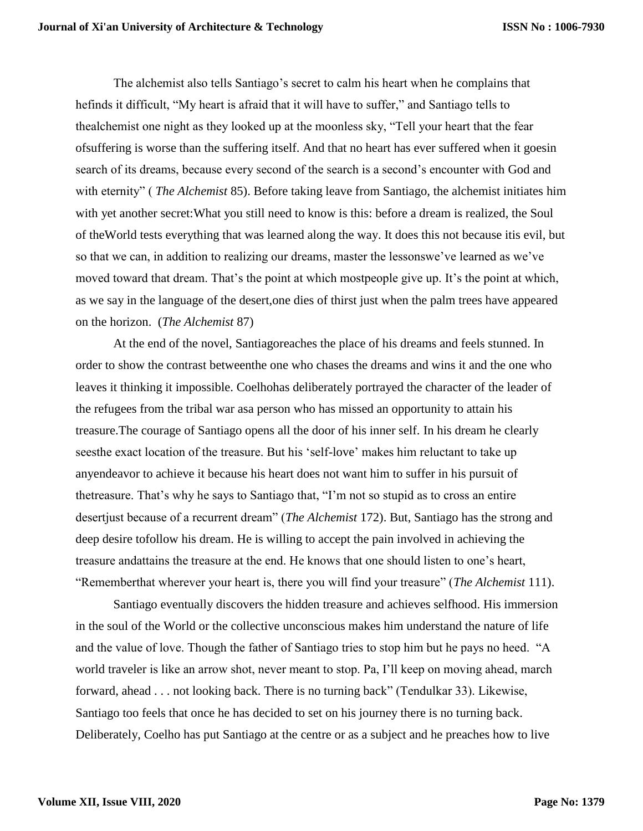The alchemist also tells Santiago's secret to calm his heart when he complains that hefinds it difficult, "My heart is afraid that it will have to suffer," and Santiago tells to thealchemist one night as they looked up at the moonless sky, "Tell your heart that the fear ofsuffering is worse than the suffering itself. And that no heart has ever suffered when it goesin search of its dreams, because every second of the search is a second's encounter with God and with eternity" ( *The Alchemist* 85). Before taking leave from Santiago, the alchemist initiates him with yet another secret:What you still need to know is this: before a dream is realized, the Soul of theWorld tests everything that was learned along the way. It does this not because itis evil, but so that we can, in addition to realizing our dreams, master the lessonswe've learned as we've moved toward that dream. That's the point at which mostpeople give up. It's the point at which, as we say in the language of the desert,one dies of thirst just when the palm trees have appeared on the horizon. (*The Alchemist* 87)

At the end of the novel, Santiagoreaches the place of his dreams and feels stunned. In order to show the contrast betweenthe one who chases the dreams and wins it and the one who leaves it thinking it impossible. Coelhohas deliberately portrayed the character of the leader of the refugees from the tribal war asa person who has missed an opportunity to attain his treasure.The courage of Santiago opens all the door of his inner self. In his dream he clearly seesthe exact location of the treasure. But his 'self-love' makes him reluctant to take up anyendeavor to achieve it because his heart does not want him to suffer in his pursuit of thetreasure. That's why he says to Santiago that, "I'm not so stupid as to cross an entire desertjust because of a recurrent dream" (*The Alchemist* 172). But, Santiago has the strong and deep desire tofollow his dream. He is willing to accept the pain involved in achieving the treasure andattains the treasure at the end. He knows that one should listen to one's heart, "Rememberthat wherever your heart is, there you will find your treasure" (*The Alchemist* 111).

Santiago eventually discovers the hidden treasure and achieves selfhood. His immersion in the soul of the World or the collective unconscious makes him understand the nature of life and the value of love. Though the father of Santiago tries to stop him but he pays no heed. "A world traveler is like an arrow shot, never meant to stop. Pa, I'll keep on moving ahead, march forward, ahead . . . not looking back. There is no turning back" (Tendulkar 33). Likewise, Santiago too feels that once he has decided to set on his journey there is no turning back. Deliberately, Coelho has put Santiago at the centre or as a subject and he preaches how to live